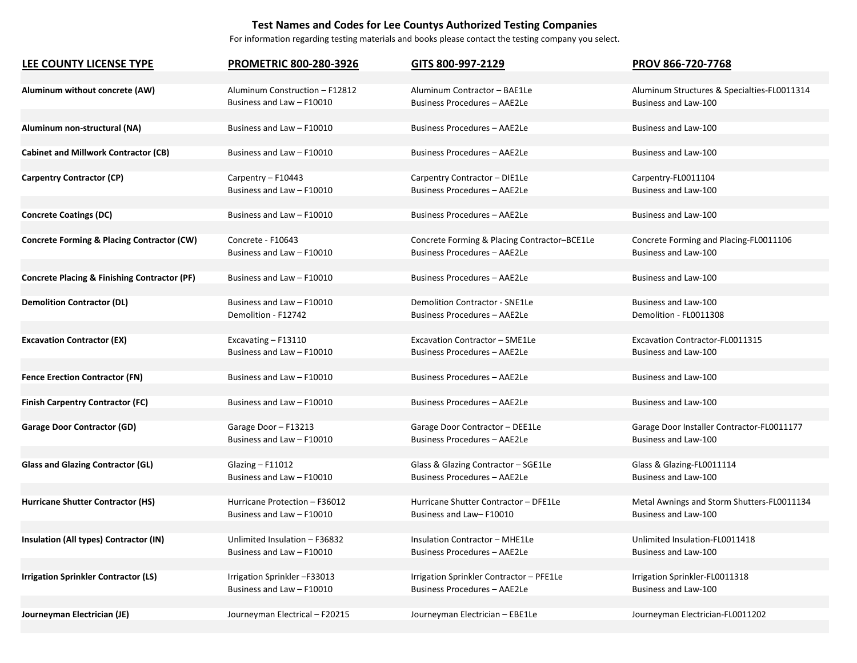## **Test Names and Codes for Lee Countys Authorized Testing Companies**

For information regarding testing materials and books please contact the testing company you select.

| LEE COUNTY LICENSE TYPE                                 | <b>PROMETRIC 800-280-3926</b>  | GITS 800-997-2129                            | PROV 866-720-7768                           |
|---------------------------------------------------------|--------------------------------|----------------------------------------------|---------------------------------------------|
| Aluminum without concrete (AW)                          | Aluminum Construction - F12812 | Aluminum Contractor - BAE1Le                 | Aluminum Structures & Specialties-FL0011314 |
|                                                         | Business and Law - F10010      | <b>Business Procedures - AAE2Le</b>          | Business and Law-100                        |
| Aluminum non-structural (NA)                            | Business and Law - F10010      | Business Procedures - AAE2Le                 | Business and Law-100                        |
| <b>Cabinet and Millwork Contractor (CB)</b>             | Business and Law - F10010      | Business Procedures - AAE2Le                 | Business and Law-100                        |
| <b>Carpentry Contractor (CP)</b>                        | Carpentry - F10443             | Carpentry Contractor - DIE1Le                | Carpentry-FL0011104                         |
|                                                         | Business and Law - F10010      | <b>Business Procedures - AAE2Le</b>          | Business and Law-100                        |
| <b>Concrete Coatings (DC)</b>                           | Business and Law - F10010      | Business Procedures - AAE2Le                 | Business and Law-100                        |
| <b>Concrete Forming &amp; Placing Contractor (CW)</b>   | Concrete - F10643              | Concrete Forming & Placing Contractor-BCE1Le | Concrete Forming and Placing-FL0011106      |
|                                                         | Business and Law - F10010      | <b>Business Procedures - AAE2Le</b>          | Business and Law-100                        |
| <b>Concrete Placing &amp; Finishing Contractor (PF)</b> | Business and Law - F10010      | Business Procedures - AAE2Le                 | Business and Law-100                        |
| <b>Demolition Contractor (DL)</b>                       | Business and Law - F10010      | <b>Demolition Contractor - SNE1Le</b>        | Business and Law-100                        |
|                                                         | Demolition - F12742            | <b>Business Procedures - AAE2Le</b>          | Demolition - FL0011308                      |
| <b>Excavation Contractor (EX)</b>                       | Excavating - F13110            | Excavation Contractor - SME1Le               | Excavation Contractor-FL0011315             |
|                                                         | Business and Law - F10010      | Business Procedures - AAE2Le                 | Business and Law-100                        |
| <b>Fence Erection Contractor (FN)</b>                   | Business and Law - F10010      | <b>Business Procedures - AAE2Le</b>          | Business and Law-100                        |
| <b>Finish Carpentry Contractor (FC)</b>                 | Business and Law - F10010      | <b>Business Procedures - AAE2Le</b>          | Business and Law-100                        |
| <b>Garage Door Contractor (GD)</b>                      | Garage Door - F13213           | Garage Door Contractor - DEE1Le              | Garage Door Installer Contractor-FL0011177  |
|                                                         | Business and Law - F10010      | <b>Business Procedures - AAE2Le</b>          | Business and Law-100                        |
| <b>Glass and Glazing Contractor (GL)</b>                | Glazing - F11012               | Glass & Glazing Contractor - SGE1Le          | Glass & Glazing-FL0011114                   |
|                                                         | Business and Law - F10010      | Business Procedures - AAE2Le                 | Business and Law-100                        |
| Hurricane Shutter Contractor (HS)                       | Hurricane Protection - F36012  | Hurricane Shutter Contractor - DFE1Le        | Metal Awnings and Storm Shutters-FL0011134  |
|                                                         | Business and Law - F10010      | Business and Law-F10010                      | Business and Law-100                        |
| Insulation (All types) Contractor (IN)                  | Unlimited Insulation - F36832  | <b>Insulation Contractor - MHE1Le</b>        | Unlimited Insulation-FL0011418              |
|                                                         | Business and Law - F10010      | Business Procedures - AAE2Le                 | Business and Law-100                        |
| <b>Irrigation Sprinkler Contractor (LS)</b>             | Irrigation Sprinkler-F33013    | Irrigation Sprinkler Contractor - PFE1Le     | Irrigation Sprinkler-FL0011318              |
|                                                         | Business and Law - F10010      | <b>Business Procedures - AAE2Le</b>          | Business and Law-100                        |
| Journeyman Electrician (JE)                             | Journeyman Electrical - F20215 | Journeyman Electrician - EBE1Le              | Journeyman Electrician-FL0011202            |